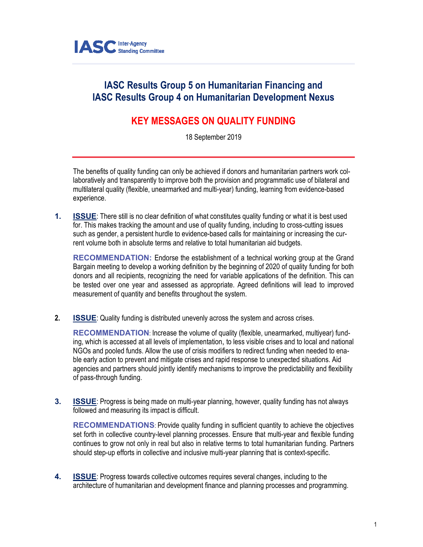

## **IASC Results Group 5 on Humanitarian Financing and IASC Results Group 4 on Humanitarian Development Nexus**

## **KEY MESSAGES ON QUALITY FUNDING**

18 September 2019

The benefits of quality funding can only be achieved if donors and humanitarian partners work collaboratively and transparently to improve both the provision and programmatic use of bilateral and multilateral quality (flexible, unearmarked and multi-year) funding, learning from evidence-based experience.

**1. ISSUE:** There still is no clear definition of what constitutes quality funding or what it is best used for. This makes tracking the amount and use of quality funding, including to cross-cutting issues such as gender, a persistent hurdle to evidence-based calls for maintaining or increasing the current volume both in absolute terms and relative to total humanitarian aid budgets.

**RECOMMENDATION:** Endorse the establishment of a technical working group at the Grand Bargain meeting to develop a working definition by the beginning of 2020 of quality funding for both donors and all recipients, recognizing the need for variable applications of the definition. This can be tested over one year and assessed as appropriate. Agreed definitions will lead to improved measurement of quantity and benefits throughout the system.

**2. ISSUE**: Quality funding is distributed unevenly across the system and across crises.

**RECOMMENDATION**: Increase the volume of quality (flexible, unearmarked, multiyear) funding, which is accessed at all levels of implementation, to less visible crises and to local and national NGOs and pooled funds. Allow the use of crisis modifiers to redirect funding when needed to enable early action to prevent and mitigate crises and rapid response to unexpected situations. Aid agencies and partners should jointly identify mechanisms to improve the predictability and flexibility of pass-through funding.

**3. ISSUE**: Progress is being made on multi-year planning, however, quality funding has not always followed and measuring its impact is difficult.

**RECOMMENDATIONS:** Provide quality funding in sufficient quantity to achieve the objectives set forth in collective country-level planning processes. Ensure that multi-year and flexible funding continues to grow not only in real but also in relative terms to total humanitarian funding. Partners should step-up efforts in collective and inclusive multi-year planning that is context-specific.

**4. ISSUE**: Progress towards collective outcomes requires several changes, including to the architecture of humanitarian and development finance and planning processes and programming.